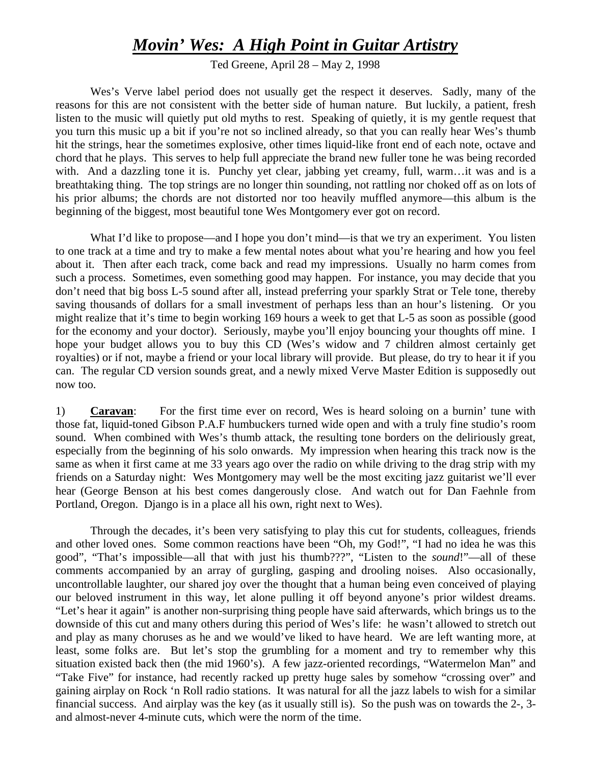## *Movin' Wes: A High Point in Guitar Artistry*

Ted Greene, April 28 – May 2, 1998

 Wes's Verve label period does not usually get the respect it deserves. Sadly, many of the reasons for this are not consistent with the better side of human nature. But luckily, a patient, fresh listen to the music will quietly put old myths to rest. Speaking of quietly, it is my gentle request that you turn this music up a bit if you're not so inclined already, so that you can really hear Wes's thumb hit the strings, hear the sometimes explosive, other times liquid-like front end of each note, octave and chord that he plays. This serves to help full appreciate the brand new fuller tone he was being recorded with. And a dazzling tone it is. Punchy yet clear, jabbing yet creamy, full, warm…it was and is a breathtaking thing. The top strings are no longer thin sounding, not rattling nor choked off as on lots of his prior albums; the chords are not distorted nor too heavily muffled anymore—this album is the beginning of the biggest, most beautiful tone Wes Montgomery ever got on record.

What I'd like to propose—and I hope you don't mind—is that we try an experiment. You listen to one track at a time and try to make a few mental notes about what you're hearing and how you feel about it. Then after each track, come back and read my impressions. Usually no harm comes from such a process. Sometimes, even something good may happen. For instance, you may decide that you don't need that big boss L-5 sound after all, instead preferring your sparkly Strat or Tele tone, thereby saving thousands of dollars for a small investment of perhaps less than an hour's listening. Or you might realize that it's time to begin working 169 hours a week to get that L-5 as soon as possible (good for the economy and your doctor). Seriously, maybe you'll enjoy bouncing your thoughts off mine. I hope your budget allows you to buy this CD (Wes's widow and 7 children almost certainly get royalties) or if not, maybe a friend or your local library will provide. But please, do try to hear it if you can. The regular CD version sounds great, and a newly mixed Verve Master Edition is supposedly out now too.

1) **Caravan**: For the first time ever on record, Wes is heard soloing on a burnin' tune with those fat, liquid-toned Gibson P.A.F humbuckers turned wide open and with a truly fine studio's room sound. When combined with Wes's thumb attack, the resulting tone borders on the deliriously great, especially from the beginning of his solo onwards. My impression when hearing this track now is the same as when it first came at me 33 years ago over the radio on while driving to the drag strip with my friends on a Saturday night: Wes Montgomery may well be the most exciting jazz guitarist we'll ever hear (George Benson at his best comes dangerously close. And watch out for Dan Faehnle from Portland, Oregon. Django is in a place all his own, right next to Wes).

Through the decades, it's been very satisfying to play this cut for students, colleagues, friends and other loved ones. Some common reactions have been "Oh, my God!", "I had no idea he was this good", "That's impossible—all that with just his thumb???", "Listen to the *sound*!"—all of these comments accompanied by an array of gurgling, gasping and drooling noises. Also occasionally, uncontrollable laughter, our shared joy over the thought that a human being even conceived of playing our beloved instrument in this way, let alone pulling it off beyond anyone's prior wildest dreams. "Let's hear it again" is another non-surprising thing people have said afterwards, which brings us to the downside of this cut and many others during this period of Wes's life: he wasn't allowed to stretch out and play as many choruses as he and we would've liked to have heard. We are left wanting more, at least, some folks are. But let's stop the grumbling for a moment and try to remember why this situation existed back then (the mid 1960's). A few jazz-oriented recordings, "Watermelon Man" and "Take Five" for instance, had recently racked up pretty huge sales by somehow "crossing over" and gaining airplay on Rock 'n Roll radio stations. It was natural for all the jazz labels to wish for a similar financial success. And airplay was the key (as it usually still is). So the push was on towards the 2-, 3 and almost-never 4-minute cuts, which were the norm of the time.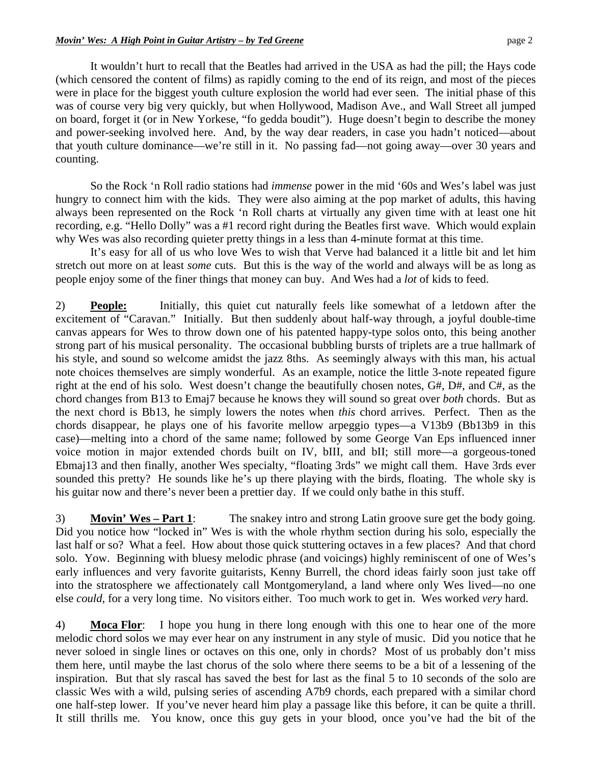It wouldn't hurt to recall that the Beatles had arrived in the USA as had the pill; the Hays code (which censored the content of films) as rapidly coming to the end of its reign, and most of the pieces were in place for the biggest youth culture explosion the world had ever seen. The initial phase of this was of course very big very quickly, but when Hollywood, Madison Ave., and Wall Street all jumped on board, forget it (or in New Yorkese, "fo gedda boudit"). Huge doesn't begin to describe the money and power-seeking involved here. And, by the way dear readers, in case you hadn't noticed—about that youth culture dominance—we're still in it. No passing fad—not going away—over 30 years and counting.

So the Rock 'n Roll radio stations had *immense* power in the mid '60s and Wes's label was just hungry to connect him with the kids. They were also aiming at the pop market of adults, this having always been represented on the Rock 'n Roll charts at virtually any given time with at least one hit recording, e.g. "Hello Dolly" was a #1 record right during the Beatles first wave. Which would explain why Wes was also recording quieter pretty things in a less than 4-minute format at this time.

It's easy for all of us who love Wes to wish that Verve had balanced it a little bit and let him stretch out more on at least *some* cuts. But this is the way of the world and always will be as long as people enjoy some of the finer things that money can buy. And Wes had a *lot* of kids to feed.

2) **People:** Initially, this quiet cut naturally feels like somewhat of a letdown after the excitement of "Caravan." Initially. But then suddenly about half-way through, a joyful double-time canvas appears for Wes to throw down one of his patented happy-type solos onto, this being another strong part of his musical personality. The occasional bubbling bursts of triplets are a true hallmark of his style, and sound so welcome amidst the jazz 8ths. As seemingly always with this man, his actual note choices themselves are simply wonderful. As an example, notice the little 3-note repeated figure right at the end of his solo. West doesn't change the beautifully chosen notes, G#, D#, and C#, as the chord changes from B13 to Emaj7 because he knows they will sound so great over *both* chords. But as the next chord is Bb13, he simply lowers the notes when *this* chord arrives. Perfect. Then as the chords disappear, he plays one of his favorite mellow arpeggio types—a V13b9 (Bb13b9 in this case)—melting into a chord of the same name; followed by some George Van Eps influenced inner voice motion in major extended chords built on IV, bIII, and bII; still more—a gorgeous-toned Ebmaj13 and then finally, another Wes specialty, "floating 3rds" we might call them. Have 3rds ever sounded this pretty? He sounds like he's up there playing with the birds, floating. The whole sky is his guitar now and there's never been a prettier day. If we could only bathe in this stuff.

3) **Movin' Wes – Part 1**: The snakey intro and strong Latin groove sure get the body going. Did you notice how "locked in" Wes is with the whole rhythm section during his solo, especially the last half or so? What a feel. How about those quick stuttering octaves in a few places? And that chord solo. Yow. Beginning with bluesy melodic phrase (and voicings) highly reminiscent of one of Wes's early influences and very favorite guitarists, Kenny Burrell, the chord ideas fairly soon just take off into the stratosphere we affectionately call Montgomeryland, a land where only Wes lived—no one else *could*, for a very long time. No visitors either. Too much work to get in. Wes worked *very* hard.

4) **Moca Flor**: I hope you hung in there long enough with this one to hear one of the more melodic chord solos we may ever hear on any instrument in any style of music. Did you notice that he never soloed in single lines or octaves on this one, only in chords? Most of us probably don't miss them here, until maybe the last chorus of the solo where there seems to be a bit of a lessening of the inspiration. But that sly rascal has saved the best for last as the final 5 to 10 seconds of the solo are classic Wes with a wild, pulsing series of ascending A7b9 chords, each prepared with a similar chord one half-step lower. If you've never heard him play a passage like this before, it can be quite a thrill. It still thrills me. You know, once this guy gets in your blood, once you've had the bit of the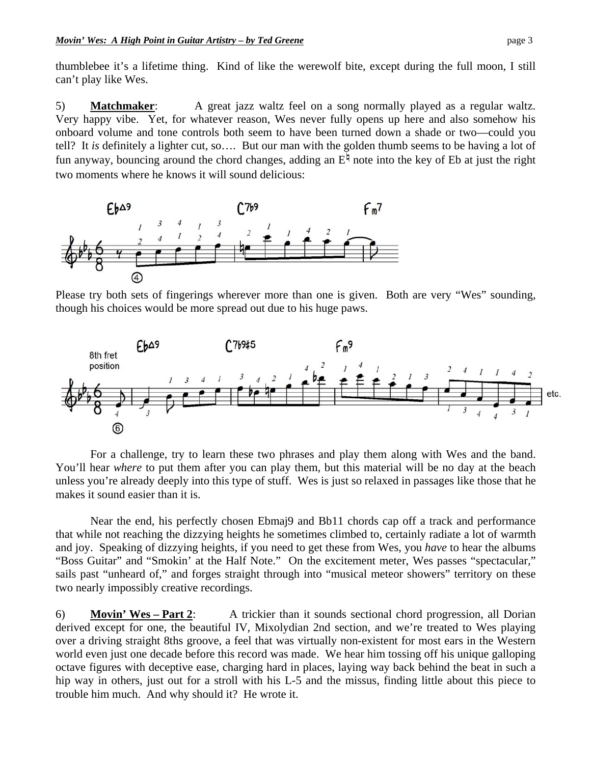thumblebee it's a lifetime thing. Kind of like the werewolf bite, except during the full moon, I still can't play like Wes.

5) **Matchmaker**: A great jazz waltz feel on a song normally played as a regular waltz. Very happy vibe. Yet, for whatever reason, Wes never fully opens up here and also somehow his onboard volume and tone controls both seem to have been turned down a shade or two—could you tell? It *is* definitely a lighter cut, so…. But our man with the golden thumb seems to be having a lot of fun anyway, bouncing around the chord changes, adding an  $E^{\frac{1}{7}}$  note into the key of Eb at just the right two moments where he knows it will sound delicious:



Please try both sets of fingerings wherever more than one is given. Both are very "Wes" sounding, though his choices would be more spread out due to his huge paws.



For a challenge, try to learn these two phrases and play them along with Wes and the band. You'll hear *where* to put them after you can play them, but this material will be no day at the beach unless you're already deeply into this type of stuff. Wes is just so relaxed in passages like those that he makes it sound easier than it is.

Near the end, his perfectly chosen Ebmaj9 and Bb11 chords cap off a track and performance that while not reaching the dizzying heights he sometimes climbed to, certainly radiate a lot of warmth and joy. Speaking of dizzying heights, if you need to get these from Wes, you *have* to hear the albums "Boss Guitar" and "Smokin' at the Half Note." On the excitement meter, Wes passes "spectacular," sails past "unheard of," and forges straight through into "musical meteor showers" territory on these two nearly impossibly creative recordings.

6) **Movin' Wes – Part 2**: A trickier than it sounds sectional chord progression, all Dorian derived except for one, the beautiful IV, Mixolydian 2nd section, and we're treated to Wes playing over a driving straight 8ths groove, a feel that was virtually non-existent for most ears in the Western world even just one decade before this record was made. We hear him tossing off his unique galloping octave figures with deceptive ease, charging hard in places, laying way back behind the beat in such a hip way in others, just out for a stroll with his L-5 and the missus, finding little about this piece to trouble him much. And why should it? He wrote it.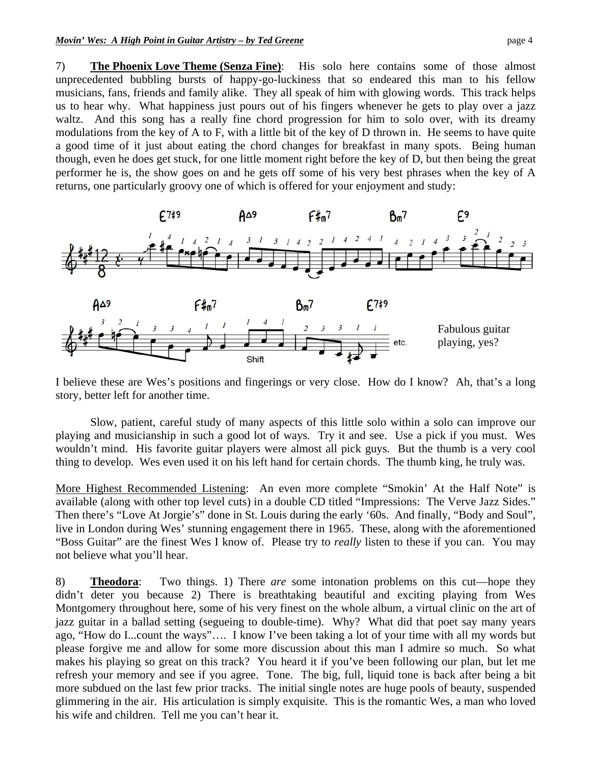7) **The Phoenix Love Theme (Senza Fine)**: His solo here contains some of those almost unprecedented bubbling bursts of happy-go-luckiness that so endeared this man to his fellow musicians, fans, friends and family alike. They all speak of him with glowing words. This track helps us to hear why. What happiness just pours out of his fingers whenever he gets to play over a jazz waltz. And this song has a really fine chord progression for him to solo over, with its dreamy modulations from the key of A to F, with a little bit of the key of D thrown in. He seems to have quite a good time of it just about eating the chord changes for breakfast in many spots. Being human though, even he does get stuck, for one little moment right before the key of D, but then being the great performer he is, the show goes on and he gets off some of his very best phrases when the key of A returns, one particularly groovy one of which is offered for your enjoyment and study:



I believe these are Wes's positions and fingerings or very close. How do I know? Ah, that's a long story, better left for another time.

 Slow, patient, careful study of many aspects of this little solo within a solo can improve our playing and musicianship in such a good lot of ways. Try it and see. Use a pick if you must. Wes wouldn't mind. His favorite guitar players were almost all pick guys. But the thumb is a very cool thing to develop. Wes even used it on his left hand for certain chords. The thumb king, he truly was.

More Highest Recommended Listening: An even more complete "Smokin' At the Half Note" is available (along with other top level cuts) in a double CD titled "Impressions: The Verve Jazz Sides." Then there's "Love At Jorgie's" done in St. Louis during the early '60s. And finally, "Body and Soul", live in London during Wes' stunning engagement there in 1965. These, along with the aforementioned "Boss Guitar" are the finest Wes I know of. Please try to *really* listen to these if you can. You may not believe what you'll hear.

8) **Theodora**: Two things. 1) There *are* some intonation problems on this cut—hope they didn't deter you because 2) There is breathtaking beautiful and exciting playing from Wes Montgomery throughout here, some of his very finest on the whole album, a virtual clinic on the art of jazz guitar in a ballad setting (segueing to double-time). Why? What did that poet say many years ago, "How do I...count the ways"…. I know I've been taking a lot of your time with all my words but please forgive me and allow for some more discussion about this man I admire so much. So what makes his playing so great on this track? You heard it if you've been following our plan, but let me refresh your memory and see if you agree. Tone. The big, full, liquid tone is back after being a bit more subdued on the last few prior tracks. The initial single notes are huge pools of beauty, suspended glimmering in the air. His articulation is simply exquisite. This is the romantic Wes, a man who loved his wife and children. Tell me you can't hear it.